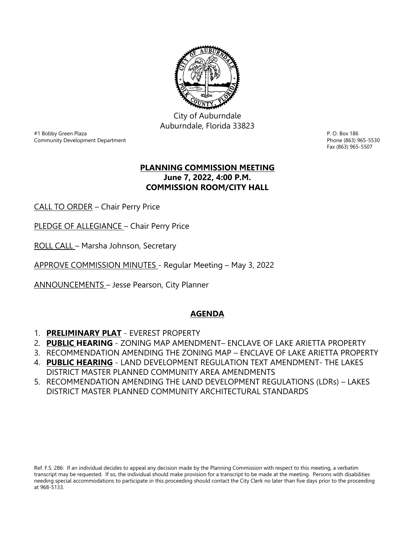

City of Auburndale Auburndale, Florida 33823

#1 Bobby Green Plaza P. O. Box 186 Community Development Department **Properties and Community Development Department** Phone (863) 965-5530

Fax (863) 965-5507

## **PLANNING COMMISSION MEETING June 7, 2022, 4:00 P.M. COMMISSION ROOM/CITY HALL**

CALL TO ORDER – Chair Perry Price

PLEDGE OF ALLEGIANCE – Chair Perry Price

ROLL CALL – Marsha Johnson, Secretary

APPROVE COMMISSION MINUTES - Regular Meeting – May 3, 2022

ANNOUNCEMENTS – Jesse Pearson, City Planner

# **AGENDA**

- 1. **PRELIMINARY PLAT** EVEREST PROPERTY
- 2. **PUBLIC HEARING** ZONING MAP AMENDMENT– ENCLAVE OF LAKE ARIETTA PROPERTY
- 3. RECOMMENDATION AMENDING THE ZONING MAP ENCLAVE OF LAKE ARIETTA PROPERTY
- 4. **PUBLIC HEARING** LAND DEVELOPMENT REGULATION TEXT AMENDMENT- THE LAKES DISTRICT MASTER PLANNED COMMUNITY AREA AMENDMENTS
- 5. RECOMMENDATION AMENDING THE LAND DEVELOPMENT REGULATIONS (LDRs) LAKES DISTRICT MASTER PLANNED COMMUNITY ARCHITECTURAL STANDARDS

Ref. F.S. 286: If an individual decides to appeal any decision made by the Planning Commission with respect to this meeting, a verbatim transcript may be requested. If so, the individual should make provision for a transcript to be made at the meeting. Persons with disabilities needing special accommodations to participate in this proceeding should contact the City Clerk no later than five days prior to the proceeding at 968-5133.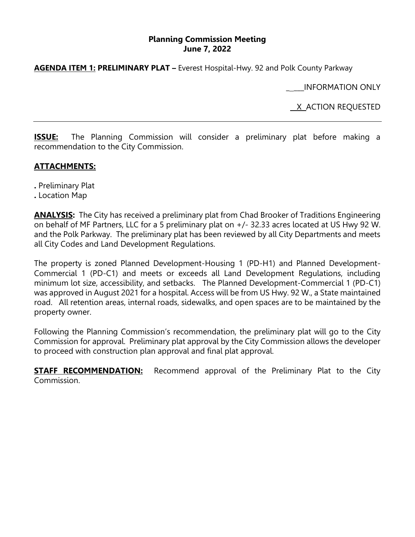### **Planning Commission Meeting June 7, 2022**

### **AGENDA ITEM 1: PRELIMINARY PLAT –** Everest Hospital-Hwy. 92 and Polk County Parkway

INFORMATION ONLY

X ACTION REQUESTED

**ISSUE:** The Planning Commission will consider a preliminary plat before making a recommendation to the City Commission.

## **ATTACHMENTS:**

- **.** Preliminary Plat
- **.** Location Map

**ANALYSIS:** The City has received a preliminary plat from Chad Brooker of Traditions Engineering on behalf of MF Partners, LLC for a 5 preliminary plat on +/- 32.33 acres located at US Hwy 92 W. and the Polk Parkway. The preliminary plat has been reviewed by all City Departments and meets all City Codes and Land Development Regulations.

The property is zoned Planned Development-Housing 1 (PD-H1) and Planned Development-Commercial 1 (PD-C1) and meets or exceeds all Land Development Regulations, including minimum lot size, accessibility, and setbacks. The Planned Development-Commercial 1 (PD-C1) was approved in August 2021 for a hospital. Access will be from US Hwy. 92 W., a State maintained road. All retention areas, internal roads, sidewalks, and open spaces are to be maintained by the property owner.

Following the Planning Commission's recommendation, the preliminary plat will go to the City Commission for approval. Preliminary plat approval by the City Commission allows the developer to proceed with construction plan approval and final plat approval.

**STAFF RECOMMENDATION:** Recommend approval of the Preliminary Plat to the City Commission.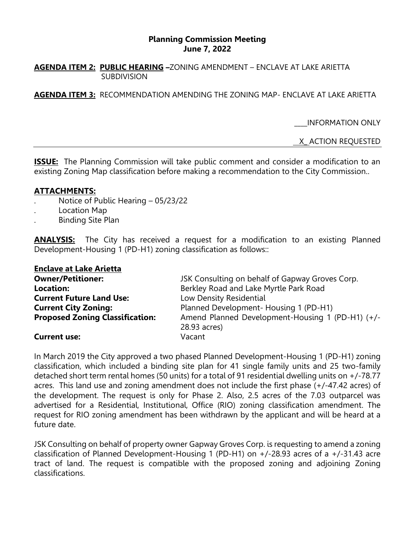### **Planning Commission Meeting June 7, 2022**

#### **AGENDA ITEM 2: PUBLIC HEARING –**ZONING AMENDMENT – ENCLAVE AT LAKE ARIETTA SUBDIVISION

**AGENDA ITEM 3:** RECOMMENDATION AMENDING THE ZONING MAP- ENCLAVE AT LAKE ARIETTA

\_\_\_\_INFORMATION ONLY

X\_ ACTION REQUESTED

**ISSUE:** The Planning Commission will take public comment and consider a modification to an existing Zoning Map classification before making a recommendation to the City Commission..

#### **ATTACHMENTS:**

- . Notice of Public Hearing 05/23/22
- . Location Map
- . Binding Site Plan

**ANALYSIS:** The City has received a request for a modification to an existing Planned Development-Housing 1 (PD-H1) zoning classification as follows::

| <b>Enclave at Lake Arietta</b>         |                                                  |
|----------------------------------------|--------------------------------------------------|
| <b>Owner/Petitioner:</b>               | JSK Consulting on behalf of Gapway Groves Corp.  |
| Location:                              | Berkley Road and Lake Myrtle Park Road           |
| <b>Current Future Land Use:</b>        | Low Density Residential                          |
| <b>Current City Zoning:</b>            | Planned Development- Housing 1 (PD-H1)           |
| <b>Proposed Zoning Classification:</b> | Amend Planned Development-Housing 1 (PD-H1) (+/- |
|                                        | 28.93 acres)                                     |
| <b>Current use:</b>                    | Vacant                                           |

In March 2019 the City approved a two phased Planned Development-Housing 1 (PD-H1) zoning classification, which included a binding site plan for 41 single family units and 25 two-family detached short term rental homes (50 units) for a total of 91 residential dwelling units on +/-78.77 acres. This land use and zoning amendment does not include the first phase (+/-47.42 acres) of the development. The request is only for Phase 2. Also, 2.5 acres of the 7.03 outparcel was advertised for a Residential, Institutional, Office (RIO) zoning classification amendment. The request for RIO zoning amendment has been withdrawn by the applicant and will be heard at a future date.

JSK Consulting on behalf of property owner Gapway Groves Corp. is requesting to amend a zoning classification of Planned Development-Housing 1 (PD-H1) on +/-28.93 acres of a +/-31.43 acre tract of land. The request is compatible with the proposed zoning and adjoining Zoning classifications.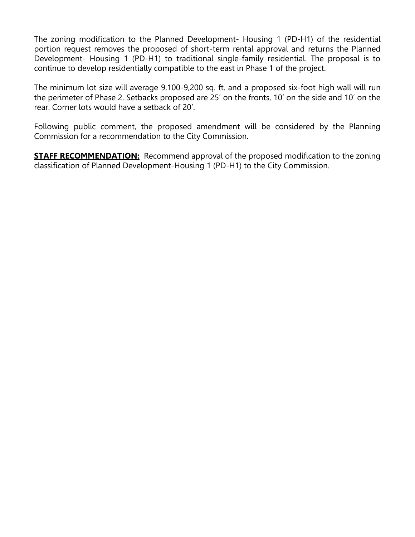The zoning modification to the Planned Development- Housing 1 (PD-H1) of the residential portion request removes the proposed of short-term rental approval and returns the Planned Development- Housing 1 (PD-H1) to traditional single-family residential. The proposal is to continue to develop residentially compatible to the east in Phase 1 of the project.

The minimum lot size will average 9,100-9,200 sq. ft. and a proposed six-foot high wall will run the perimeter of Phase 2. Setbacks proposed are 25' on the fronts, 10' on the side and 10' on the rear. Corner lots would have a setback of 20'.

Following public comment, the proposed amendment will be considered by the Planning Commission for a recommendation to the City Commission.

**STAFF RECOMMENDATION:** Recommend approval of the proposed modification to the zoning classification of Planned Development-Housing 1 (PD-H1) to the City Commission.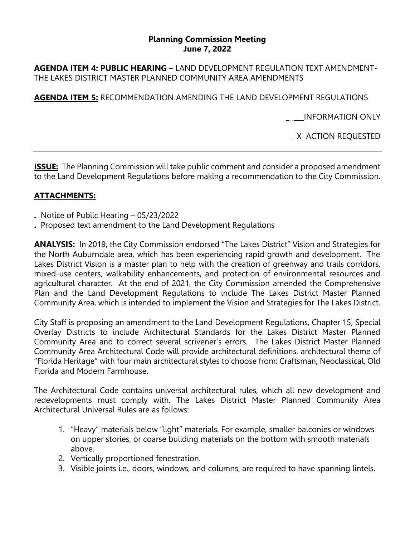### **Planning Commission Meeting June 7, 2022**

**AGENDA ITEM 4: PUBLIC HEARING** – LAND DEVELOPMENT REGULATION TEXT AMENDMENT-THE LAKES DISTRICT MASTER PLANNED COMMUNITY AREA AMENDMENTS

**AGENDA ITEM 5:** RECOMMENDATION AMENDING THE LAND DEVELOPMENT REGULATIONS

INFORMATION ONLY

X ACTION REQUESTED

**ISSUE:** The Planning Commission will take public comment and consider a proposed amendment to the Land Development Regulations before making a recommendation to the City Commission.

# **ATTACHMENTS:**

- **.** Notice of Public Hearing 05/23/2022
- **.** Proposed text amendment to the Land Development Regulations

**ANALYSIS:** In 2019, the City Commission endorsed "The Lakes District" Vision and Strategies for the North Auburndale area, which has been experiencing rapid growth and development. The Lakes District Vision is a master plan to help with the creation of greenway and trails corridors, mixed-use centers, walkability enhancements, and protection of environmental resources and agricultural character. At the end of 2021, the City Commission amended the Comprehensive Plan and the Land Development Regulations to include The Lakes District Master Planned Community Area, which is intended to implement the Vision and Strategies for The Lakes District.

City Staff is proposing an amendment to the Land Development Regulations, Chapter 15, Special Overlay Districts to include Architectural Standards for the Lakes District Master Planned Community Area and to correct several scrivener's errors. The Lakes District Master Planned Community Area Architectural Code will provide architectural definitions, architectural theme of "Florida Heritage" with four main architectural styles to choose from: Craftsman, Neoclassical, Old Florida and Modern Farmhouse.

The Architectural Code contains universal architectural rules, which all new development and redevelopments must comply with. The Lakes District Master Planned Community Area Architectural Universal Rules are as follows:

- 1. "Heavy" materials below "light" materials. For example, smaller balconies or windows on upper stories, or coarse building materials on the bottom with smooth materials above.
- 2. Vertically proportioned fenestration.
- 3. Visible joints i.e., doors, windows, and columns, are required to have spanning lintels.